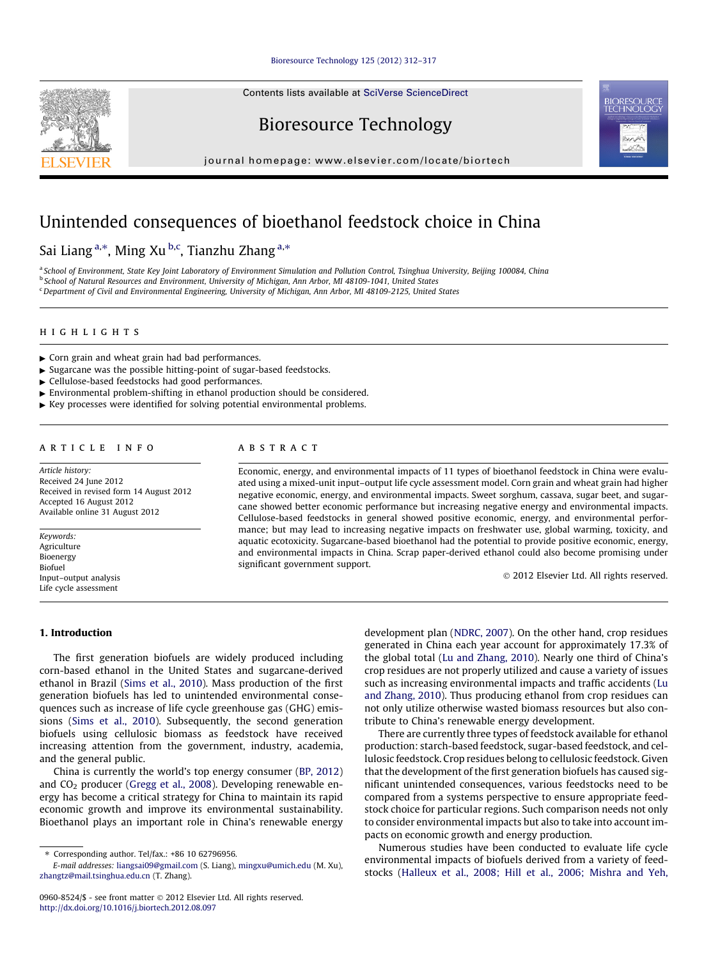## [Bioresource Technology 125 \(2012\) 312–317](http://dx.doi.org/10.1016/j.biortech.2012.08.097)

Contents lists available at [SciVerse ScienceDirect](http://www.sciencedirect.com/science/journal/09608524)



Bioresource Technology

journal homepage: [www.elsevier.com/locate/biortech](http://www.elsevier.com/locate/biortech)

# Unintended consequences of bioethanol feedstock choice in China

## Sai Liang <sup>a,</sup>\*, Ming Xu <sup>b,c</sup>, Tianzhu Zhang <sup>a,</sup>\*

a School of Environment, State Key Joint Laboratory of Environment Simulation and Pollution Control, Tsinghua University, Beijing 100084, China <sup>b</sup> School of Natural Resources and Environment, University of Michigan, Ann Arbor, MI 48109-1041, United States <sup>c</sup> Department of Civil and Environmental Engineering, University of Michigan, Ann Arbor, MI 48109-2125, United States

## highlights

- $\triangleright$  Corn grain and wheat grain had bad performances.
- $\triangleright$  Sugarcane was the possible hitting-point of sugar-based feedstocks.
- $\blacktriangleright$  Cellulose-based feedstocks had good performances.
- $\blacktriangleright$  Environmental problem-shifting in ethanol production should be considered.
- $\triangleright$  Key processes were identified for solving potential environmental problems.

#### article info

Article history: Received 24 June 2012 Received in revised form 14 August 2012 Accepted 16 August 2012 Available online 31 August 2012

Keywords: Agriculture Bioenergy Biofuel Input–output analysis Life cycle assessment

#### 1. Introduction

The first generation biofuels are widely produced including corn-based ethanol in the United States and sugarcane-derived ethanol in Brazil ([Sims et al., 2010](#page-5-0)). Mass production of the first generation biofuels has led to unintended environmental consequences such as increase of life cycle greenhouse gas (GHG) emissions ([Sims et al., 2010](#page-5-0)). Subsequently, the second generation biofuels using cellulosic biomass as feedstock have received increasing attention from the government, industry, academia, and the general public.

China is currently the world's top energy consumer ([BP, 2012\)](#page-4-0) and  $CO<sub>2</sub>$  producer [\(Gregg et al., 2008](#page-4-0)). Developing renewable energy has become a critical strategy for China to maintain its rapid economic growth and improve its environmental sustainability. Bioethanol plays an important role in China's renewable energy

## ABSTRACT

Economic, energy, and environmental impacts of 11 types of bioethanol feedstock in China were evaluated using a mixed-unit input–output life cycle assessment model. Corn grain and wheat grain had higher negative economic, energy, and environmental impacts. Sweet sorghum, cassava, sugar beet, and sugarcane showed better economic performance but increasing negative energy and environmental impacts. Cellulose-based feedstocks in general showed positive economic, energy, and environmental performance; but may lead to increasing negative impacts on freshwater use, global warming, toxicity, and aquatic ecotoxicity. Sugarcane-based bioethanol had the potential to provide positive economic, energy, and environmental impacts in China. Scrap paper-derived ethanol could also become promising under significant government support.

- 2012 Elsevier Ltd. All rights reserved.

development plan ([NDRC, 2007\)](#page-5-0). On the other hand, crop residues generated in China each year account for approximately 17.3% of the global total [\(Lu and Zhang, 2010\)](#page-5-0). Nearly one third of China's crop residues are not properly utilized and cause a variety of issues such as increasing environmental impacts and traffic accidents ([Lu](#page-5-0) [and Zhang, 2010\)](#page-5-0). Thus producing ethanol from crop residues can not only utilize otherwise wasted biomass resources but also contribute to China's renewable energy development.

There are currently three types of feedstock available for ethanol production: starch-based feedstock, sugar-based feedstock, and cellulosic feedstock. Crop residues belong to cellulosic feedstock. Given that the development of the first generation biofuels has caused significant unintended consequences, various feedstocks need to be compared from a systems perspective to ensure appropriate feedstock choice for particular regions. Such comparison needs not only to consider environmental impacts but also to take into account impacts on economic growth and energy production.

Numerous studies have been conducted to evaluate life cycle environmental impacts of biofuels derived from a variety of feedstocks [\(Halleux et al., 2008; Hill et al., 2006; Mishra and Yeh,](#page-5-0)

<sup>⇑</sup> Corresponding author. Tel/fax.: +86 10 62796956.

E-mail addresses: [liangsai09@gmail.com](mailto:liangsai09@gmail.com) (S. Liang), [mingxu@umich.edu](mailto:mingxu@umich.edu) (M. Xu), [zhangtz@mail.tsinghua.edu.cn](mailto:zhangtz@mail.tsinghua.edu.cn) (T. Zhang).

<sup>0960-8524/\$ -</sup> see front matter © 2012 Elsevier Ltd. All rights reserved. <http://dx.doi.org/10.1016/j.biortech.2012.08.097>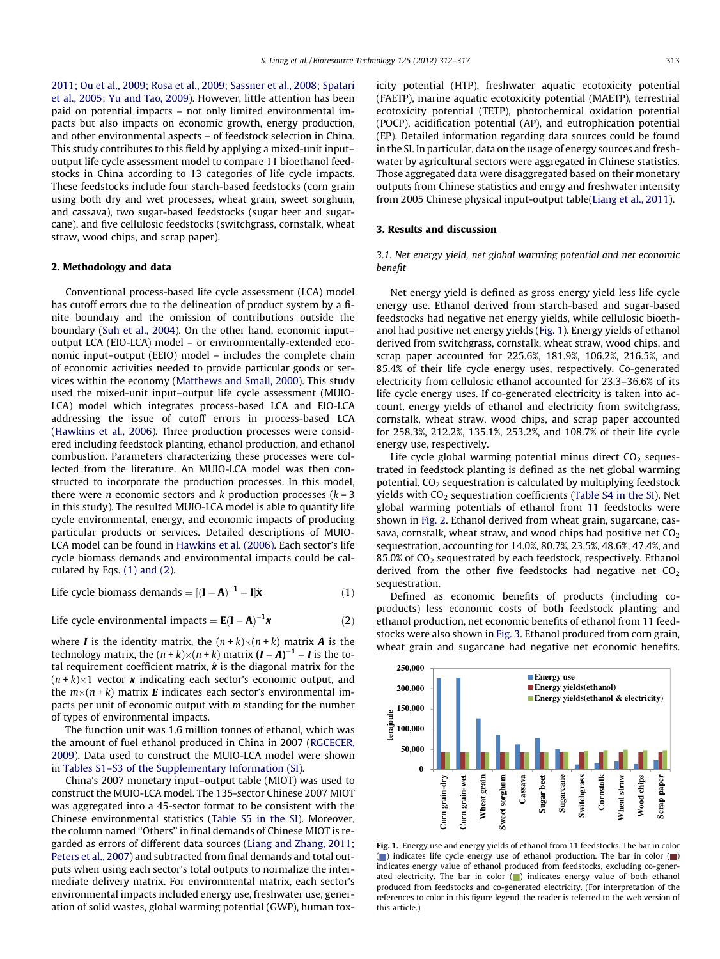[2011; Ou et al., 2009; Rosa et al., 2009; Sassner et al., 2008; Spatari](#page-5-0) [et al., 2005; Yu and Tao, 2009](#page-5-0)). However, little attention has been paid on potential impacts – not only limited environmental impacts but also impacts on economic growth, energy production, and other environmental aspects – of feedstock selection in China. This study contributes to this field by applying a mixed-unit input– output life cycle assessment model to compare 11 bioethanol feedstocks in China according to 13 categories of life cycle impacts. These feedstocks include four starch-based feedstocks (corn grain using both dry and wet processes, wheat grain, sweet sorghum, and cassava), two sugar-based feedstocks (sugar beet and sugarcane), and five cellulosic feedstocks (switchgrass, cornstalk, wheat straw, wood chips, and scrap paper).

#### 2. Methodology and data

Conventional process-based life cycle assessment (LCA) model has cutoff errors due to the delineation of product system by a finite boundary and the omission of contributions outside the boundary ([Suh et al., 2004\)](#page-5-0). On the other hand, economic input– output LCA (EIO-LCA) model – or environmentally-extended economic input–output (EEIO) model – includes the complete chain of economic activities needed to provide particular goods or services within the economy ([Matthews and Small, 2000\)](#page-5-0). This study used the mixed-unit input–output life cycle assessment (MUIO-LCA) model which integrates process-based LCA and EIO-LCA addressing the issue of cutoff errors in process-based LCA ([Hawkins et al., 2006\)](#page-5-0). Three production processes were considered including feedstock planting, ethanol production, and ethanol combustion. Parameters characterizing these processes were collected from the literature. An MUIO-LCA model was then constructed to incorporate the production processes. In this model, there were *n* economic sectors and *k* production processes ( $k = 3$ in this study). The resulted MUIO-LCA model is able to quantify life cycle environmental, energy, and economic impacts of producing particular products or services. Detailed descriptions of MUIO-LCA model can be found in [Hawkins et al. \(2006\).](#page-5-0) Each sector's life cycle biomass demands and environmental impacts could be calculated by Eqs.  $(1)$  and  $(2)$ .

Life cycle biomass demands =  $[(I - A)^{-1} - I]\hat{x}$  (1)

Life cycle environmental impacts  $= E(I - A)^{-1}$  $(2)$ 

where **I** is the identity matrix, the  $(n + k) \times (n + k)$  matrix **A** is the technology matrix, the  $(n + k) \times (n + k)$  matrix  $(I - A)^{-1} - I$  is the total requirement coefficient matrix,  $\hat{x}$  is the diagonal matrix for the  $(n+k)\times1$  vector **x** indicating each sector's economic output, and the  $m\times(n + k)$  matrix **E** indicates each sector's environmental impacts per unit of economic output with  $m$  standing for the number of types of environmental impacts.

The function unit was 1.6 million tonnes of ethanol, which was the amount of fuel ethanol produced in China in 2007 ([RGCECER,](#page-5-0) [2009](#page-5-0)). Data used to construct the MUIO-LCA model were shown in Tables S1–S3 of the Supplementary Information (SI).

China's 2007 monetary input–output table (MIOT) was used to construct the MUIO-LCA model. The 135-sector Chinese 2007 MIOT was aggregated into a 45-sector format to be consistent with the Chinese environmental statistics (Table S5 in the SI). Moreover, the column named ''Others'' in final demands of Chinese MIOT is regarded as errors of different data sources ([Liang and Zhang, 2011;](#page-5-0) [Peters et al., 2007](#page-5-0)) and subtracted from final demands and total outputs when using each sector's total outputs to normalize the intermediate delivery matrix. For environmental matrix, each sector's environmental impacts included energy use, freshwater use, generation of solid wastes, global warming potential (GWP), human toxicity potential (HTP), freshwater aquatic ecotoxicity potential (FAETP), marine aquatic ecotoxicity potential (MAETP), terrestrial ecotoxicity potential (TETP), photochemical oxidation potential (POCP), acidification potential (AP), and eutrophication potential (EP). Detailed information regarding data sources could be found in the SI. In particular, data on the usage of energy sources and freshwater by agricultural sectors were aggregated in Chinese statistics. Those aggregated data were disaggregated based on their monetary outputs from Chinese statistics and enrgy and freshwater intensity from 2005 Chinese physical input-output table[\(Liang et al., 2011\)](#page-5-0).

## 3. Results and discussion

3.1. Net energy yield, net global warming potential and net economic benefit

Net energy yield is defined as gross energy yield less life cycle energy use. Ethanol derived from starch-based and sugar-based feedstocks had negative net energy yields, while cellulosic bioethanol had positive net energy yields (Fig. 1). Energy yields of ethanol derived from switchgrass, cornstalk, wheat straw, wood chips, and scrap paper accounted for 225.6%, 181.9%, 106.2%, 216.5%, and 85.4% of their life cycle energy uses, respectively. Co-generated electricity from cellulosic ethanol accounted for 23.3–36.6% of its life cycle energy uses. If co-generated electricity is taken into account, energy yields of ethanol and electricity from switchgrass, cornstalk, wheat straw, wood chips, and scrap paper accounted for 258.3%, 212.2%, 135.1%, 253.2%, and 108.7% of their life cycle energy use, respectively.

Life cycle global warming potential minus direct  $CO<sub>2</sub>$  sequestrated in feedstock planting is defined as the net global warming potential.  $CO<sub>2</sub>$  sequestration is calculated by multiplying feedstock yields with  $CO<sub>2</sub>$  sequestration coefficients (Table S4 in the SI). Net global warming potentials of ethanol from 11 feedstocks were shown in [Fig. 2.](#page-2-0) Ethanol derived from wheat grain, sugarcane, cassava, cornstalk, wheat straw, and wood chips had positive net  $CO<sub>2</sub>$ sequestration, accounting for 14.0%, 80.7%, 23.5%, 48.6%, 47.4%, and 85.0% of  $CO<sub>2</sub>$  sequestrated by each feedstock, respectively. Ethanol derived from the other five feedstocks had negative net  $CO<sub>2</sub>$ sequestration.

Defined as economic benefits of products (including coproducts) less economic costs of both feedstock planting and ethanol production, net economic benefits of ethanol from 11 feedstocks were also shown in [Fig. 3](#page-2-0). Ethanol produced from corn grain, wheat grain and sugarcane had negative net economic benefits.



Fig. 1. Energy use and energy yields of ethanol from 11 feedstocks. The bar in color ( $\Box$ ) indicates life cycle energy use of ethanol production. The bar in color ( $\Box$ ) indicates energy value of ethanol produced from feedstocks, excluding co-generated electricity. The bar in color  $(\Box)$  indicates energy value of both ethanol produced from feedstocks and co-generated electricity. (For interpretation of the references to color in this figure legend, the reader is referred to the web version of this article.)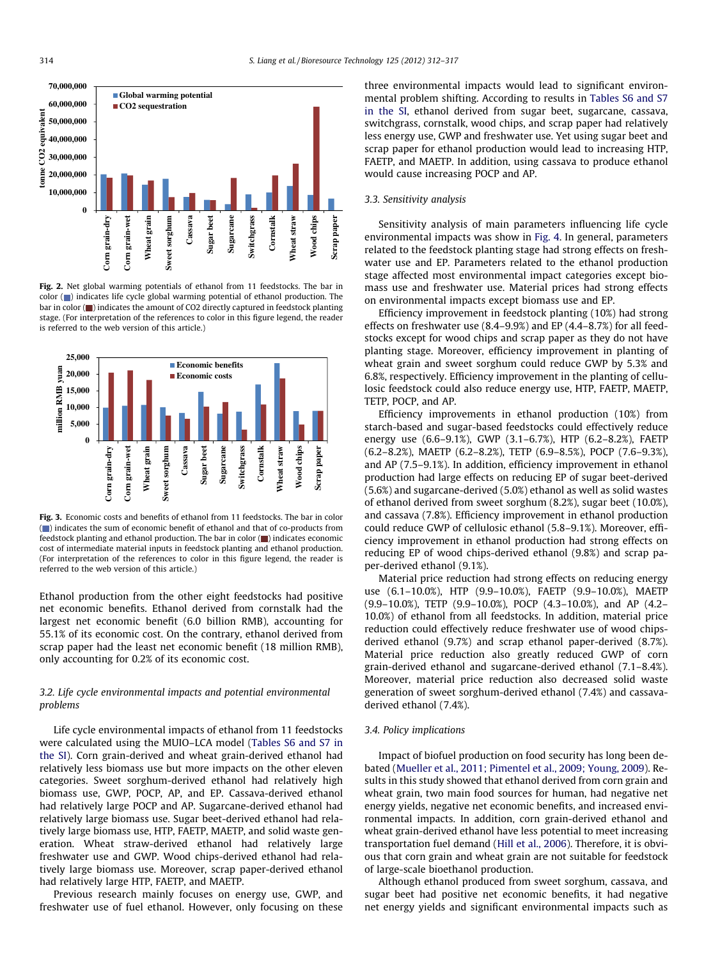<span id="page-2-0"></span>

Fig. 2. Net global warming potentials of ethanol from 11 feedstocks. The bar in color ( $\Box$ ) indicates life cycle global warming potential of ethanol production. The  $bar in color ( )$  indicates the amount of CO2 directly captured in feedstock planting stage. (For interpretation of the references to color in this figure legend, the reader is referred to the web version of this article.)



Fig. 3. Economic costs and benefits of ethanol from 11 feedstocks. The bar in color  $(\blacksquare)$  indicates the sum of economic benefit of ethanol and that of co-products from feedstock planting and ethanol production. The bar in color  $(\blacksquare)$  indicates economic cost of intermediate material inputs in feedstock planting and ethanol production. (For interpretation of the references to color in this figure legend, the reader is referred to the web version of this article.)

Ethanol production from the other eight feedstocks had positive net economic benefits. Ethanol derived from cornstalk had the largest net economic benefit (6.0 billion RMB), accounting for 55.1% of its economic cost. On the contrary, ethanol derived from scrap paper had the least net economic benefit (18 million RMB), only accounting for 0.2% of its economic cost.

## 3.2. Life cycle environmental impacts and potential environmental problems

Life cycle environmental impacts of ethanol from 11 feedstocks were calculated using the MUIO–LCA model (Tables S6 and S7 in the SI). Corn grain-derived and wheat grain-derived ethanol had relatively less biomass use but more impacts on the other eleven categories. Sweet sorghum-derived ethanol had relatively high biomass use, GWP, POCP, AP, and EP. Cassava-derived ethanol had relatively large POCP and AP. Sugarcane-derived ethanol had relatively large biomass use. Sugar beet-derived ethanol had relatively large biomass use, HTP, FAETP, MAETP, and solid waste generation. Wheat straw-derived ethanol had relatively large freshwater use and GWP. Wood chips-derived ethanol had relatively large biomass use. Moreover, scrap paper-derived ethanol had relatively large HTP, FAETP, and MAETP.

Previous research mainly focuses on energy use, GWP, and freshwater use of fuel ethanol. However, only focusing on these

three environmental impacts would lead to significant environmental problem shifting. According to results in Tables S6 and S7 in the SI, ethanol derived from sugar beet, sugarcane, cassava, switchgrass, cornstalk, wood chips, and scrap paper had relatively less energy use, GWP and freshwater use. Yet using sugar beet and scrap paper for ethanol production would lead to increasing HTP, FAETP, and MAETP. In addition, using cassava to produce ethanol would cause increasing POCP and AP.

## 3.3. Sensitivity analysis

Sensitivity analysis of main parameters influencing life cycle environmental impacts was show in [Fig. 4.](#page-3-0) In general, parameters related to the feedstock planting stage had strong effects on freshwater use and EP. Parameters related to the ethanol production stage affected most environmental impact categories except biomass use and freshwater use. Material prices had strong effects on environmental impacts except biomass use and EP.

Efficiency improvement in feedstock planting (10%) had strong effects on freshwater use (8.4–9.9%) and EP (4.4–8.7%) for all feedstocks except for wood chips and scrap paper as they do not have planting stage. Moreover, efficiency improvement in planting of wheat grain and sweet sorghum could reduce GWP by 5.3% and 6.8%, respectively. Efficiency improvement in the planting of cellulosic feedstock could also reduce energy use, HTP, FAETP, MAETP, TETP, POCP, and AP.

Efficiency improvements in ethanol production (10%) from starch-based and sugar-based feedstocks could effectively reduce energy use (6.6–9.1%), GWP (3.1–6.7%), HTP (6.2–8.2%), FAETP (6.2–8.2%), MAETP (6.2–8.2%), TETP (6.9–8.5%), POCP (7.6–9.3%), and AP (7.5–9.1%). In addition, efficiency improvement in ethanol production had large effects on reducing EP of sugar beet-derived (5.6%) and sugarcane-derived (5.0%) ethanol as well as solid wastes of ethanol derived from sweet sorghum (8.2%), sugar beet (10.0%), and cassava (7.8%). Efficiency improvement in ethanol production could reduce GWP of cellulosic ethanol (5.8–9.1%). Moreover, efficiency improvement in ethanol production had strong effects on reducing EP of wood chips-derived ethanol (9.8%) and scrap paper-derived ethanol (9.1%).

Material price reduction had strong effects on reducing energy use (6.1–10.0%), HTP (9.9–10.0%), FAETP (9.9–10.0%), MAETP (9.9–10.0%), TETP (9.9–10.0%), POCP (4.3–10.0%), and AP (4.2– 10.0%) of ethanol from all feedstocks. In addition, material price reduction could effectively reduce freshwater use of wood chipsderived ethanol (9.7%) and scrap ethanol paper-derived (8.7%). Material price reduction also greatly reduced GWP of corn grain-derived ethanol and sugarcane-derived ethanol (7.1–8.4%). Moreover, material price reduction also decreased solid waste generation of sweet sorghum-derived ethanol (7.4%) and cassavaderived ethanol (7.4%).

#### 3.4. Policy implications

Impact of biofuel production on food security has long been debated ([Mueller et al., 2011; Pimentel et al., 2009; Young, 2009](#page-5-0)). Results in this study showed that ethanol derived from corn grain and wheat grain, two main food sources for human, had negative net energy yields, negative net economic benefits, and increased environmental impacts. In addition, corn grain-derived ethanol and wheat grain-derived ethanol have less potential to meet increasing transportation fuel demand [\(Hill et al., 2006\)](#page-5-0). Therefore, it is obvious that corn grain and wheat grain are not suitable for feedstock of large-scale bioethanol production.

Although ethanol produced from sweet sorghum, cassava, and sugar beet had positive net economic benefits, it had negative net energy yields and significant environmental impacts such as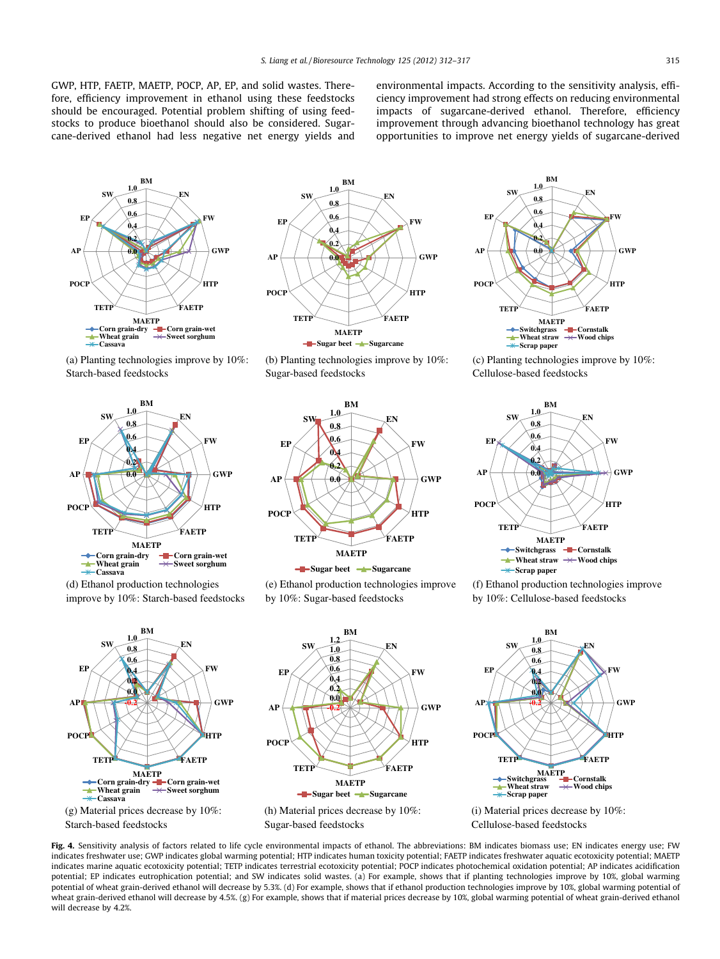<span id="page-3-0"></span>GWP, HTP, FAETP, MAETP, POCP, AP, EP, and solid wastes. Therefore, efficiency improvement in ethanol using these feedstocks should be encouraged. Potential problem shifting of using feedstocks to produce bioethanol should also be considered. Sugarcane-derived ethanol had less negative net energy yields and environmental impacts. According to the sensitivity analysis, efficiency improvement had strong effects on reducing environmental impacts of sugarcane-derived ethanol. Therefore, efficiency improvement through advancing bioethanol technology has great opportunities to improve net energy yields of sugarcane-derived



Starch-based feedstocks



(b) Planting technologies improve by 10%: Sugar-based feedstocks



(d) Ethanol production technologies improve by 10%: Starch-based feedstocks



Starch-based feedstocks



(e) Ethanol production technologies improve by 10%: Sugar-based feedstocks







(c) Planting technologies improve by 10%: Cellulose-based feedstocks



(f) Ethanol production technologies improve by 10%: Cellulose-based feedstocks



(i) Material prices decrease by 10%: Cellulose-based feedstocks

Fig. 4. Sensitivity analysis of factors related to life cycle environmental impacts of ethanol. The abbreviations: BM indicates biomass use; EN indicates energy use; FW indicates freshwater use; GWP indicates global warming potential; HTP indicates human toxicity potential; FAETP indicates freshwater aquatic ecotoxicity potential; MAETP indicates marine aquatic ecotoxicity potential; TETP indicates terrestrial ecotoxicity potential; POCP indicates photochemical oxidation potential; AP indicates acidification potential; EP indicates eutrophication potential; and SW indicates solid wastes. (a) For example, shows that if planting technologies improve by 10%, global warming potential of wheat grain-derived ethanol will decrease by 5.3%. (d) For example, shows that if ethanol production technologies improve by 10%, global warming potential of wheat grain-derived ethanol will decrease by 4.5%. (g) For example, shows that if material prices decrease by 10%, global warming potential of wheat grain-derived ethanol will decrease by 4.2%.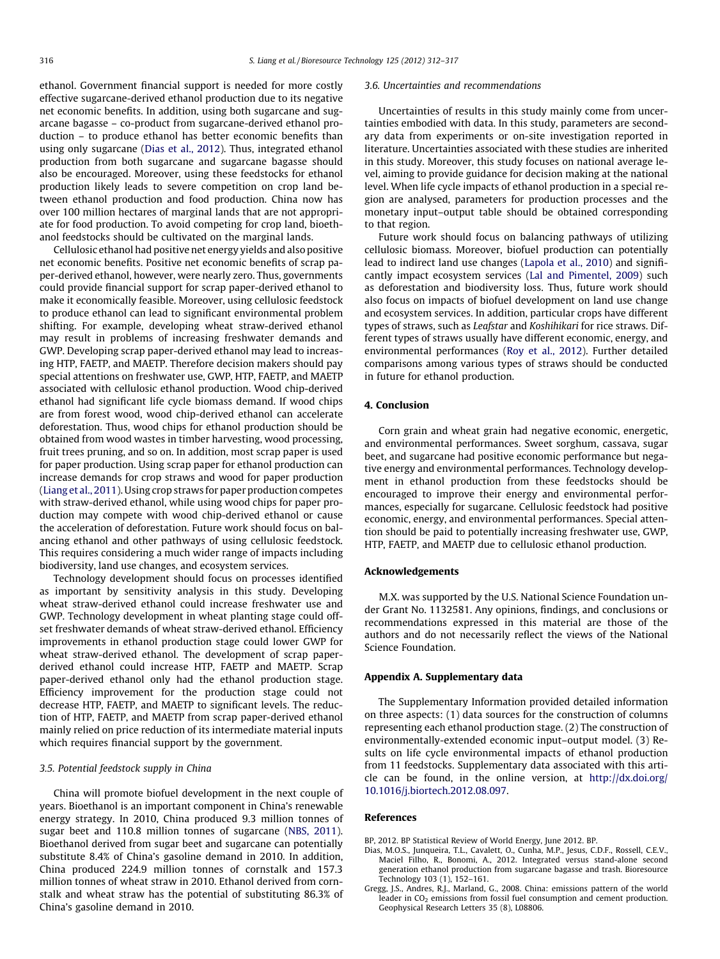<span id="page-4-0"></span>ethanol. Government financial support is needed for more costly effective sugarcane-derived ethanol production due to its negative net economic benefits. In addition, using both sugarcane and sugarcane bagasse – co-product from sugarcane-derived ethanol production – to produce ethanol has better economic benefits than using only sugarcane (Dias et al., 2012). Thus, integrated ethanol production from both sugarcane and sugarcane bagasse should also be encouraged. Moreover, using these feedstocks for ethanol production likely leads to severe competition on crop land between ethanol production and food production. China now has over 100 million hectares of marginal lands that are not appropriate for food production. To avoid competing for crop land, bioethanol feedstocks should be cultivated on the marginal lands.

Cellulosic ethanol had positive net energy yields and also positive net economic benefits. Positive net economic benefits of scrap paper-derived ethanol, however, were nearly zero. Thus, governments could provide financial support for scrap paper-derived ethanol to make it economically feasible. Moreover, using cellulosic feedstock to produce ethanol can lead to significant environmental problem shifting. For example, developing wheat straw-derived ethanol may result in problems of increasing freshwater demands and GWP. Developing scrap paper-derived ethanol may lead to increasing HTP, FAETP, and MAETP. Therefore decision makers should pay special attentions on freshwater use, GWP, HTP, FAETP, and MAETP associated with cellulosic ethanol production. Wood chip-derived ethanol had significant life cycle biomass demand. If wood chips are from forest wood, wood chip-derived ethanol can accelerate deforestation. Thus, wood chips for ethanol production should be obtained from wood wastes in timber harvesting, wood processing, fruit trees pruning, and so on. In addition, most scrap paper is used for paper production. Using scrap paper for ethanol production can increase demands for crop straws and wood for paper production ([Liang et al., 2011\)](#page-5-0). Using crop straws for paper production competes with straw-derived ethanol, while using wood chips for paper production may compete with wood chip-derived ethanol or cause the acceleration of deforestation. Future work should focus on balancing ethanol and other pathways of using cellulosic feedstock. This requires considering a much wider range of impacts including biodiversity, land use changes, and ecosystem services.

Technology development should focus on processes identified as important by sensitivity analysis in this study. Developing wheat straw-derived ethanol could increase freshwater use and GWP. Technology development in wheat planting stage could offset freshwater demands of wheat straw-derived ethanol. Efficiency improvements in ethanol production stage could lower GWP for wheat straw-derived ethanol. The development of scrap paperderived ethanol could increase HTP, FAETP and MAETP. Scrap paper-derived ethanol only had the ethanol production stage. Efficiency improvement for the production stage could not decrease HTP, FAETP, and MAETP to significant levels. The reduction of HTP, FAETP, and MAETP from scrap paper-derived ethanol mainly relied on price reduction of its intermediate material inputs which requires financial support by the government.

#### 3.5. Potential feedstock supply in China

China will promote biofuel development in the next couple of years. Bioethanol is an important component in China's renewable energy strategy. In 2010, China produced 9.3 million tonnes of sugar beet and 110.8 million tonnes of sugarcane ([NBS, 2011\)](#page-5-0). Bioethanol derived from sugar beet and sugarcane can potentially substitute 8.4% of China's gasoline demand in 2010. In addition, China produced 224.9 million tonnes of cornstalk and 157.3 million tonnes of wheat straw in 2010. Ethanol derived from cornstalk and wheat straw has the potential of substituting 86.3% of China's gasoline demand in 2010.

#### 3.6. Uncertainties and recommendations

Uncertainties of results in this study mainly come from uncertainties embodied with data. In this study, parameters are secondary data from experiments or on-site investigation reported in literature. Uncertainties associated with these studies are inherited in this study. Moreover, this study focuses on national average level, aiming to provide guidance for decision making at the national level. When life cycle impacts of ethanol production in a special region are analysed, parameters for production processes and the monetary input–output table should be obtained corresponding to that region.

Future work should focus on balancing pathways of utilizing cellulosic biomass. Moreover, biofuel production can potentially lead to indirect land use changes [\(Lapola et al., 2010\)](#page-5-0) and significantly impact ecosystem services [\(Lal and Pimentel, 2009\)](#page-5-0) such as deforestation and biodiversity loss. Thus, future work should also focus on impacts of biofuel development on land use change and ecosystem services. In addition, particular crops have different types of straws, such as Leafstar and Koshihikari for rice straws. Different types of straws usually have different economic, energy, and environmental performances [\(Roy et al., 2012\)](#page-5-0). Further detailed comparisons among various types of straws should be conducted in future for ethanol production.

#### 4. Conclusion

Corn grain and wheat grain had negative economic, energetic, and environmental performances. Sweet sorghum, cassava, sugar beet, and sugarcane had positive economic performance but negative energy and environmental performances. Technology development in ethanol production from these feedstocks should be encouraged to improve their energy and environmental performances, especially for sugarcane. Cellulosic feedstock had positive economic, energy, and environmental performances. Special attention should be paid to potentially increasing freshwater use, GWP, HTP, FAETP, and MAETP due to cellulosic ethanol production.

#### Acknowledgements

M.X. was supported by the U.S. National Science Foundation under Grant No. 1132581. Any opinions, findings, and conclusions or recommendations expressed in this material are those of the authors and do not necessarily reflect the views of the National Science Foundation.

## Appendix A. Supplementary data

The Supplementary Information provided detailed information on three aspects: (1) data sources for the construction of columns representing each ethanol production stage. (2) The construction of environmentally-extended economic input–output model. (3) Results on life cycle environmental impacts of ethanol production from 11 feedstocks. Supplementary data associated with this article can be found, in the online version, at [http://dx.doi.org/](http://dx.doi.org/10.1016/j.biortech.2012.08.097) [10.1016/j.biortech.2012.08.097](http://dx.doi.org/10.1016/j.biortech.2012.08.097).

#### References

- BP, 2012. BP Statistical Review of World Energy, June 2012. BP.
- Dias, M.O.S., Junqueira, T.L., Cavalett, O., Cunha, M.P., Jesus, C.D.F., Rossell, C.E.V., Maciel Filho, R., Bonomi, A., 2012. Integrated versus stand-alone second generation ethanol production from sugarcane bagasse and trash. Bioresource Technology 103 (1), 152–161.
- Gregg, J.S., Andres, R.J., Marland, G., 2008. China: emissions pattern of the world leader in CO<sub>2</sub> emissions from fossil fuel consumption and cement production. Geophysical Research Letters 35 (8), L08806.